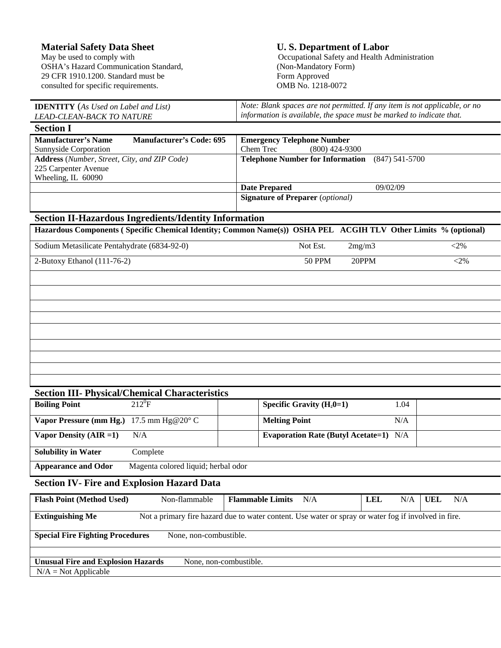**Material Safety Data Sheet U. S. Department of Labor** May be used to comply with **U. S. Department of Labor** Occupational Safety and Health A OSHA's Hazard Communication Standard, 29 CFR 1910.1200. Standard must be Form Approved consulted for specific requirements. OMB No. 1218-0072 consulted for specific requirements.

Occupational Safety and Health Administration<br>(Non-Mandatory Form)

| <b>IDENTITY</b> (As Used on Label and List)                                                                                     | Note: Blank spaces are not permitted. If any item is not applicable, or no                                     |  |  |  |  |
|---------------------------------------------------------------------------------------------------------------------------------|----------------------------------------------------------------------------------------------------------------|--|--|--|--|
| <b>LEAD-CLEAN-BACK TO NATURE</b>                                                                                                | information is available, the space must be marked to indicate that.                                           |  |  |  |  |
| <b>Section I</b>                                                                                                                |                                                                                                                |  |  |  |  |
| <b>Manufacturer's Name</b><br><b>Manufacturer's Code: 695</b>                                                                   | <b>Emergency Telephone Number</b>                                                                              |  |  |  |  |
| Sunnyside Corporation                                                                                                           | Chem Trec<br>$(800)$ 424-9300                                                                                  |  |  |  |  |
| Address (Number, Street, City, and ZIP Code)                                                                                    | <b>Telephone Number for Information</b><br>$(847) 541 - 5700$                                                  |  |  |  |  |
| 225 Carpenter Avenue                                                                                                            |                                                                                                                |  |  |  |  |
| Wheeling, IL 60090                                                                                                              |                                                                                                                |  |  |  |  |
|                                                                                                                                 | 09/02/09<br><b>Date Prepared</b>                                                                               |  |  |  |  |
|                                                                                                                                 | <b>Signature of Preparer</b> (optional)                                                                        |  |  |  |  |
| <b>Section II-Hazardous Ingredients/Identity Information</b>                                                                    |                                                                                                                |  |  |  |  |
|                                                                                                                                 | Hazardous Components (Specific Chemical Identity; Common Name(s)) OSHA PEL ACGIH TLV Other Limits % (optional) |  |  |  |  |
| Sodium Metasilicate Pentahydrate (6834-92-0)                                                                                    | Not Est.<br>$<$ 2%<br>2mg/m3                                                                                   |  |  |  |  |
| 2-Butoxy Ethanol (111-76-2)                                                                                                     | <b>50 PPM</b><br>20PPM<br>$<$ 2%                                                                               |  |  |  |  |
|                                                                                                                                 |                                                                                                                |  |  |  |  |
|                                                                                                                                 |                                                                                                                |  |  |  |  |
|                                                                                                                                 |                                                                                                                |  |  |  |  |
|                                                                                                                                 |                                                                                                                |  |  |  |  |
|                                                                                                                                 |                                                                                                                |  |  |  |  |
|                                                                                                                                 |                                                                                                                |  |  |  |  |
|                                                                                                                                 |                                                                                                                |  |  |  |  |
|                                                                                                                                 |                                                                                                                |  |  |  |  |
|                                                                                                                                 |                                                                                                                |  |  |  |  |
|                                                                                                                                 |                                                                                                                |  |  |  |  |
|                                                                                                                                 |                                                                                                                |  |  |  |  |
| <b>Section III- Physical/Chemical Characteristics</b>                                                                           |                                                                                                                |  |  |  |  |
| $212^0F$<br><b>Boiling Point</b>                                                                                                | Specific Gravity $(H_20=1)$<br>1.04                                                                            |  |  |  |  |
| Vapor Pressure (mm Hg.) 17.5 mm Hg@20° C                                                                                        | <b>Melting Point</b><br>N/A                                                                                    |  |  |  |  |
| N/A<br>Vapor Density $(AIR = 1)$                                                                                                | <b>Evaporation Rate (Butyl Acetate=1)</b> N/A                                                                  |  |  |  |  |
| <b>Solubility in Water</b><br>Complete                                                                                          |                                                                                                                |  |  |  |  |
| <b>Appearance and Odor</b><br>Magenta colored liquid; herbal odor                                                               |                                                                                                                |  |  |  |  |
| <b>Section IV- Fire and Explosion Hazard Data</b>                                                                               |                                                                                                                |  |  |  |  |
|                                                                                                                                 |                                                                                                                |  |  |  |  |
| <b>Flash Point (Method Used)</b><br>Non-flammable                                                                               | <b>Flammable Limits</b><br>$\rm N/A$<br>N/A<br>N/A<br><b>UEL</b><br><b>LEL</b>                                 |  |  |  |  |
| <b>Extinguishing Me</b><br>Not a primary fire hazard due to water content. Use water or spray or water fog if involved in fire. |                                                                                                                |  |  |  |  |
| <b>Special Fire Fighting Procedures</b><br>None, non-combustible.                                                               |                                                                                                                |  |  |  |  |
|                                                                                                                                 |                                                                                                                |  |  |  |  |
| <b>Unusual Fire and Explosion Hazards</b><br>None, non-combustible.                                                             |                                                                                                                |  |  |  |  |
| $N/A = Not Applicable$                                                                                                          |                                                                                                                |  |  |  |  |
|                                                                                                                                 |                                                                                                                |  |  |  |  |